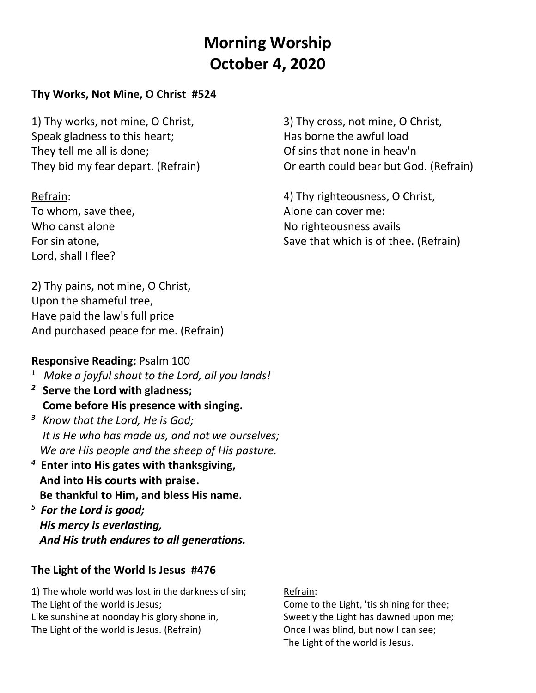# **Morning Worship October 4, 2020**

## **Thy Works, Not Mine, O Christ #524**

1) Thy works, not mine, O Christ, Speak gladness to this heart; They tell me all is done; They bid my fear depart. (Refrain)

Refrain:

To whom, save thee, Who canst alone For sin atone, Lord, shall I flee?

2) Thy pains, not mine, O Christ, Upon the shameful tree, Have paid the law's full price And purchased peace for me. (Refrain)

#### **Responsive Reading:** Psalm 100

- 1 *Make a joyful shout to the Lord, all you lands!*
- *<sup>2</sup>***Serve the Lord with gladness; Come before His presence with singing.**
- *<sup>3</sup>Know that the Lord, He is God; It is He who has made us, and not we ourselves; We are His people and the sheep of His pasture.*
- *<sup>4</sup>***Enter into His gates with thanksgiving, And into His courts with praise. Be thankful to Him, and bless His name.**
- *<sup>5</sup>For the Lord is good; His mercy is everlasting, And His truth endures to all generations.*

## **The Light of the World Is Jesus #476**

1) The whole world was lost in the darkness of sin; The Light of the world is Jesus; Like sunshine at noonday his glory shone in, The Light of the world is Jesus. (Refrain)

3) Thy cross, not mine, O Christ, Has borne the awful load Of sins that none in heav'n Or earth could bear but God. (Refrain)

4) Thy righteousness, O Christ, Alone can cover me: No righteousness avails Save that which is of thee. (Refrain)

Refrain:

Come to the Light, 'tis shining for thee; Sweetly the Light has dawned upon me; Once I was blind, but now I can see; The Light of the world is Jesus.